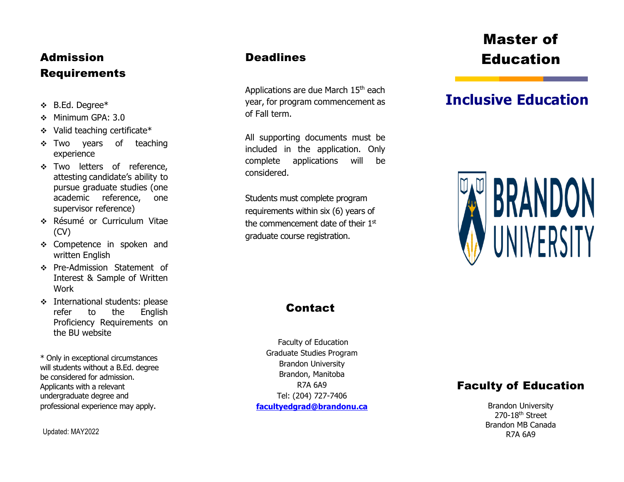## Admission Requirements

- 
- Minimum GPA: 3.0
- Valid teaching certificate\*
- \* Two years of teaching experience
- \* Two letters of reference, attesting candidate's ability to pursue graduate studies (one academic reference, one supervisor reference)
- Résumé or Curriculum Vitae (CV)
- \* Competence in spoken and written English
- Pre -Admission Statement of Interest & Sample of Written Work
- **International students: please** refer to the English Proficiency Requirements on the BU website

\* Only in exceptional circumstances will students without a B.Ed. degree be considered for admission. Applicants with a relevant undergraduate degree and professional experience may apply .

Updated: MAY2022

### **Deadlines**

Applications are due March 15<sup>th</sup> each year, for program commencement as of Fall term.

All supporting documents must be included in the application. Only complete applications will be considered.

Students must complete program requirements within six (6) years of the commencement date of their  $1<sup>st</sup>$ graduate course registration.

# Master of Education

## $\bullet$  **B.Ed. Degree\* Inclusive and Supplemental Section and Supplemental Section of**  $\bullet$  **<b>Inclusive Education**



### **Contact**

Faculty of Education Graduate Studies Program Brandon University Brandon, Manitoba R7A 6A9 Tel: (204) 727 -7406 **[facultyedgrad@brandonu.ca](mailto:kirkj@brandonu.ca)**

### Faculty of Education

Brandon University 270-18<sup>th</sup> Street Brandon MB Canada R7A 6A9